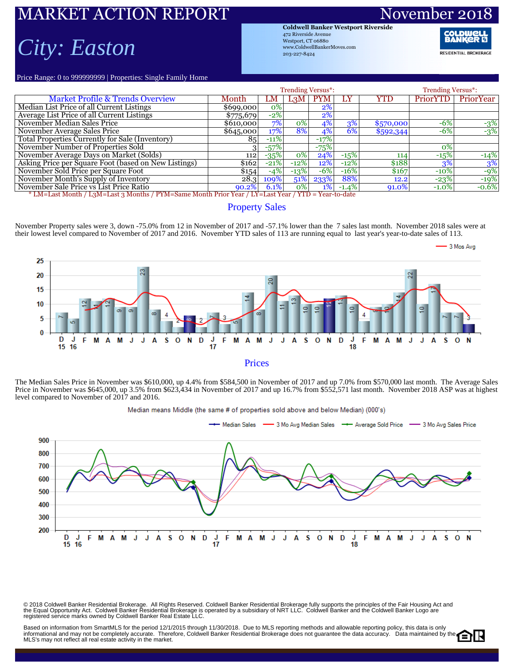## ARKET ACTION REPORT Novem

# *City: Easton*

**Coldwell Banker Westport Riverside** 472 Riverside Avenue Westport, CT 06880 www.ColdwellBankerMoves.com 203-227-8424

**RESIDENTIAL BROKERAGE** 

3 Mos Avg

Price Range: 0 to 999999999 | Properties: Single Family Home

|                                                                                                     |           |         | <b>Trending Versus*:</b> |            | <b>Trending Versus*:</b> |           |          |           |  |  |  |  |
|-----------------------------------------------------------------------------------------------------|-----------|---------|--------------------------|------------|--------------------------|-----------|----------|-----------|--|--|--|--|
| <b>Market Profile &amp; Trends Overview</b>                                                         | Month     | LM      | L <sub>3</sub> M         | <b>PYM</b> | LY                       | YTD       | PriorYTD | PriorYear |  |  |  |  |
| Median List Price of all Current Listings                                                           | \$699,000 | $ 0\% $ |                          | $2\%$      |                          |           |          |           |  |  |  |  |
| Average List Price of all Current Listings                                                          | \$775,679 | $-2%$   |                          | $2\%$      |                          |           |          |           |  |  |  |  |
| November Median Sales Price                                                                         | \$610,000 | 7%      | $0\%$                    | 4%         | 3%                       | \$570,000 | $-6\%$   | $-3%$     |  |  |  |  |
| November Average Sales Price                                                                        | \$645,000 | 17%     | 8%                       | 4%         | 6%                       | \$592,344 | $-6%$    | $-3%$     |  |  |  |  |
| Total Properties Currently for Sale (Inventory)                                                     | 85        | $-11%$  |                          | $-17%$     |                          |           |          |           |  |  |  |  |
| November Number of Properties Sold                                                                  |           | $-57%$  |                          | $-75%$     |                          |           | 0%       |           |  |  |  |  |
| November Average Days on Market (Solds)                                                             | 112       | $-35%$  | $0\%$                    | 24%        | $-15%$                   | 114       | $-15%$   | $-14%$    |  |  |  |  |
| Asking Price per Square Foot (based on New Listings)                                                | \$162     | $-21%$  | $-12%$                   | 12%        | $-12%$                   | \$188     | 3%       | 3%        |  |  |  |  |
| November Sold Price per Square Foot                                                                 | \$154     | $-4%$   | $-13%$                   | $-6\%$     | $-16%$                   | \$167     | $-10\%$  | $-9%$     |  |  |  |  |
| November Month's Supply of Inventory                                                                | 28.3      | 109%    | 51%                      | 233%       | 88%                      | 12.2      | $-23%$   | $-19%$    |  |  |  |  |
| November Sale Price vs List Price Ratio                                                             | $90.2\%$  | 6.1%    | $ 0\% $                  | $1\%$      | $-1.4\%$                 | 91.0%     | $-1.0\%$ | $-0.6%$   |  |  |  |  |
| * LM=Last Month / L3M=Last 3 Months / PYM=Same Month Prior Year / LY=Last Year / YTD = Year-to-date |           |         |                          |            |                          |           |          |           |  |  |  |  |

### Property Sales

November Property sales were 3, down -75.0% from 12 in November of 2017 and -57.1% lower than the 7 sales last month. November 2018 sales were at their lowest level compared to November of 2017 and 2016. November YTD sales of 113 are running equal to last year's year-to-date sales of 113.



#### Prices

The Median Sales Price in November was \$610,000, up 4.4% from \$584,500 in November of 2017 and up 7.0% from \$570,000 last month. The Average Sales Price in November was \$645,000, up 3.5% from \$623,434 in November of 2017 and up 16.7% from \$552,571 last month. November 2018 ASP was at highest level compared to November of 2017 and 2016.



© 2018 Coldwell Banker Residential Brokerage. All Rights Reserved. Coldwell Banker Residential Brokerage fully supports the principles of the Fair Housing Act and<br>the Equal Opportunity Act. Coldwell Banker Realential Bro

Based on information from SmartMLS for the period 12/1/2015 through 11/30/2018. Due to MLS reporting methods and allowable reporting policy, this data is only informational and may not be completely accurate. Therefore, Coldwell Banker Residential Brokerage does not guarantee the data accuracy. Data maintained by the MLS's may not reflect all real estate activity in the market.

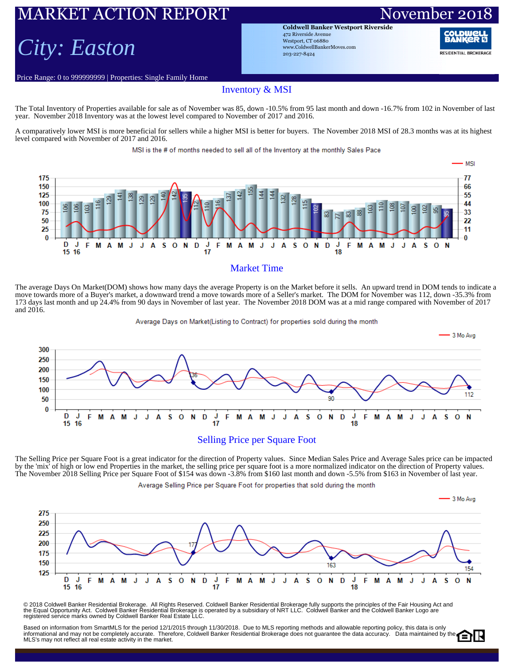### ARKET ACTION REPORT November 20

## *City: Easton*

Price Range: 0 to 999999999 | Properties: Single Family Home

**Coldwell Banker Westport Riverside** 472 Riverside Avenue Westport, CT 06880 www.ColdwellBankerMoves.com 203-227-8424

**RESIDENTIAL BROKERAGE** 

#### Inventory & MSI

The Total Inventory of Properties available for sale as of November was 85, down -10.5% from 95 last month and down -16.7% from 102 in November of last year. November 2018 Inventory was at the lowest level compared to November of 2017 and 2016.

A comparatively lower MSI is more beneficial for sellers while a higher MSI is better for buyers. The November 2018 MSI of 28.3 months was at its highest level compared with November of 2017 and 2016.

MSI is the # of months needed to sell all of the Inventory at the monthly Sales Pace



#### Market Time

The average Days On Market(DOM) shows how many days the average Property is on the Market before it sells. An upward trend in DOM tends to indicate a move towards more of a Buyer's market, a downward trend a move towards more of a Seller's market. The DOM for November was 112, down -35.3% from 173 days last month and up 24.4% from 90 days in November of last year. The November 2018 DOM was at a mid range compared with November of 2017 and 2016.



The Selling Price per Square Foot is a great indicator for the direction of Property values. Since Median Sales Price and Average Sales price can be impacted by the 'mix' of high or low end Properties in the market, the selling price per square foot is a more normalized indicator on the direction of Property values. The November 2018 Selling Price per Square Foot of \$154 was down -3.8% from \$160 last month and down -5.5% from \$163 in November of last year.

Average Selling Price per Square Foot for properties that sold during the month



© 2018 Coldwell Banker Residential Brokerage. All Rights Reserved. Coldwell Banker Residential Brokerage fully supports the principles of the Fair Housing Act and<br>the Equal Opportunity Act. Coldwell Banker Realential Bro

Based on information from SmartMLS for the period 12/1/2015 through 11/30/2018. Due to MLS reporting methods and allowable reporting policy, this data is only Dased of information form official with the period in the computation of the control of the computational and may not be completely accuracy. Data maintained by the MLS's may not reflect all real estate activity in the market.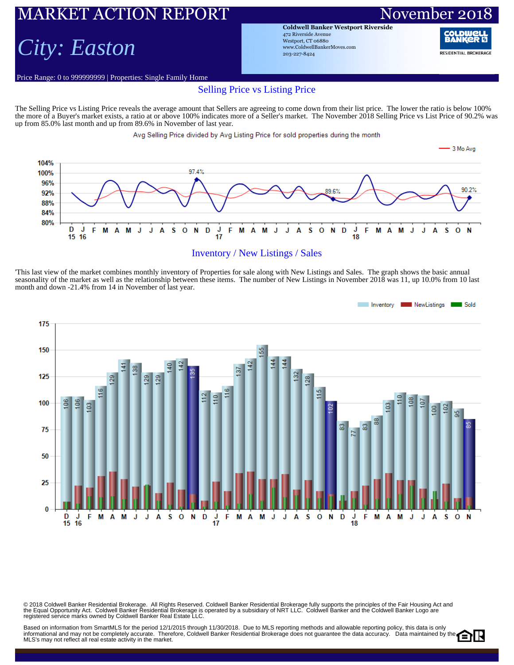## RKET ACTION REPORT November 20

# *City: Easton*

Price Range: 0 to 999999999 | Properties: Single Family Home

**Coldwell Banker Westport Riverside** 472 Riverside Avenue Westport, CT 06880 www.ColdwellBankerMoves.com 203-227-8424

RANI **RESIDENTIAL BROKERAGE** 

### Selling Price vs Listing Price

The Selling Price vs Listing Price reveals the average amount that Sellers are agreeing to come down from their list price. The lower the ratio is below 100% the more of a Buyer's market exists, a ratio at or above 100% indicates more of a Seller's market. The November 2018 Selling Price vs List Price of 90.2% was up from 85.0% last month and up from 89.6% in November of last year.

Avg Selling Price divided by Avg Listing Price for sold properties during the month



#### Inventory / New Listings / Sales

'This last view of the market combines monthly inventory of Properties for sale along with New Listings and Sales. The graph shows the basic annual seasonality of the market as well as the relationship between these items. The number of New Listings in November 2018 was 11, up 10.0% from 10 last month and down -21.4% from 14 in November of last year.



© 2018 Coldwell Banker Residential Brokerage. All Rights Reserved. Coldwell Banker Residential Brokerage fully supports the principles of the Fair Housing Act and<br>the Equal Opportunity Act. Coldwell Banker Realential Bro

Based on information from SmartMLS for the period 12/1/2015 through 11/30/2018. Due to MLS reporting methods and allowable reporting policy, this data is only Dased on information from Unitativity for the period 12 (1201) with the set of the Coldwell Banker Residential Brokerage does not guarantee the data accuracy. Data maintained by the MLS's may not reflect all real estate activity in the market.